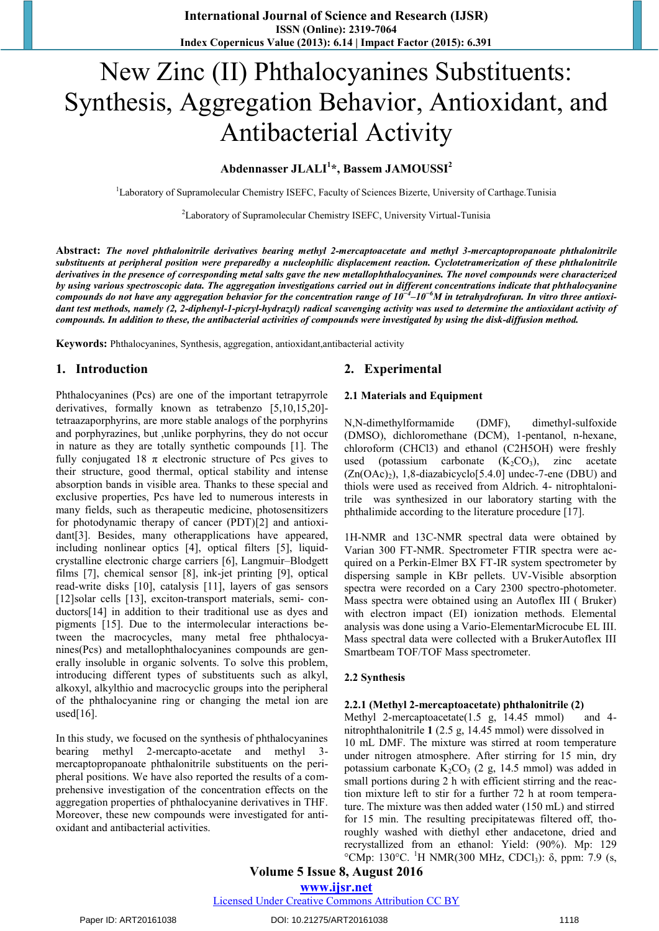# New Zinc (II) Phthalocyanines Substituents: Synthesis, Aggregation Behavior, Antioxidant, and Antibacterial Activity

## **Abdennasser JLALI<sup>1</sup> \*, Bassem JAMOUSSI<sup>2</sup>**

<sup>1</sup>Laboratory of Supramolecular Chemistry ISEFC, Faculty of Sciences Bizerte, University of Carthage.Tunisia

<sup>2</sup>Laboratory of Supramolecular Chemistry ISEFC, University Virtual-Tunisia

**Abstract:** *The novel phthalonitrile derivatives bearing methyl 2-mercaptoacetate and methyl 3-mercaptopropanoate phthalonitrile substituents at peripheral position were preparedby a nucleophilic displacement reaction. Cyclotetramerization of these phthalonitrile derivatives in the presence of corresponding metal salts gave the new metallophthalocyanines. The novel compounds were characterized by using various spectroscopic data. The aggregation investigations carried out in different concentrations indicate that phthalocyanine compounds do not have any aggregation behavior for the concentration range of 10−4 –10−6M in tetrahydrofuran. In vitro three antioxidant test methods, namely (2, 2-diphenyl-1-picryl-hydrazyl) radical scavenging activity was used to determine the antioxidant activity of compounds. In addition to these, the antibacterial activities of compounds were investigated by using the disk-diffusion method.*

**Keywords:** Phthalocyanines, Synthesis, aggregation, antioxidant,antibacterial activity

#### **1. Introduction**

Phthalocyanines (Pcs) are one of the important tetrapyrrole derivatives, formally known as tetrabenzo [5,10,15,20] tetraazaporphyrins, are more stable analogs of the porphyrins and porphyrazines, but ,unlike porphyrins, they do not occur in nature as they are totally synthetic compounds [1]. The fully conjugated 18  $\pi$  electronic structure of Pcs gives to their structure, good thermal, optical stability and intense absorption bands in visible area. Thanks to these special and exclusive properties, Pcs have led to numerous interests in many fields, such as therapeutic medicine, photosensitizers for photodynamic therapy of cancer (PDT)[2] and antioxidant[3]. Besides, many otherapplications have appeared, including nonlinear optics [4], optical filters [5], liquidcrystalline electronic charge carriers [6], Langmuir–Blodgett films [7], chemical sensor [8], ink-jet printing [9], optical read-write disks [10], catalysis [11], layers of gas sensors [12]solar cells [13], exciton-transport materials, semi-conductors[14] in addition to their traditional use as dyes and pigments [15]. Due to the intermolecular interactions between the macrocycles, many metal free phthalocyanines(Pcs) and metallophthalocyanines compounds are generally insoluble in organic solvents. To solve this problem, introducing different types of substituents such as alkyl, alkoxyl, alkylthio and macrocyclic groups into the peripheral of the phthalocyanine ring or changing the metal ion are used $[16]$ .

In this study, we focused on the synthesis of phthalocyanines bearing methyl 2-mercapto-acetate and methyl 3 mercaptopropanoate phthalonitrile substituents on the peripheral positions. We have also reported the results of a comprehensive investigation of the concentration effects on the aggregation properties of phthalocyanine derivatives in THF. Moreover, these new compounds were investigated for antioxidant and antibacterial activities.

### **2. Experimental**

#### **2.1 Materials and Equipment**

N,N-dimethylformamide (DMF), dimethyl-sulfoxide (DMSO), dichloromethane (DCM), 1-pentanol, n-hexane, chloroform (CHCl3) and ethanol (C2H5OH) were freshly used (potassium carbonate  $(K_2CO_3)$ , zinc acetate  $(Zn(OAc)_2)$ , 1,8-diazabicyclo<sup>[5.4.0]</sup> undec-7-ene (DBU) and thiols were used as received from Aldrich. 4- nitrophtalonitrile was synthesized in our laboratory starting with the phthalimide according to the literature procedure [17].

1H-NMR and 13C-NMR spectral data were obtained by Varian 300 FT-NMR. Spectrometer FTIR spectra were acquired on a Perkin-Elmer BX FT-IR system spectrometer by dispersing sample in KBr pellets. UV-Visible absorption spectra were recorded on a Cary 2300 spectro-photometer. Mass spectra were obtained using an Autoflex III ( Bruker) with electron impact (EI) ionization methods. Elemental analysis was done using a Vario-ElementarMicrocube EL III. Mass spectral data were collected with a BrukerAutoflex III Smartbeam TOF/TOF Mass spectrometer.

#### **2.2 Synthesis**

## **2.2.1 (Methyl 2-mercaptoacetate) phthalonitrile (2)**

Methyl 2-mercaptoacetate(1.5 g, 14.45 mmol) and 4nitrophthalonitrile **1** (2.5 g, 14.45 mmol) were dissolved in 10 mL DMF. The mixture was stirred at room temperature under nitrogen atmosphere. After stirring for 15 min, dry potassium carbonate  $K_2CO_3$  (2 g, 14.5 mmol) was added in small portions during 2 h with efficient stirring and the reaction mixture left to stir for a further 72 h at room temperature. The mixture was then added water (150 mL) and stirred for 15 min. The resulting precipitatewas filtered off, thoroughly washed with diethyl ether andacetone, dried and recrystallized from an ethanol: Yield: (90%). Mp: 129 °CMp: 130°C. <sup>1</sup>H NMR(300 MHz, CDCl<sub>3</sub>): δ, ppm: 7.9 (s,

**Volume 5 Issue 8, August 2016** 

**www.ijsr.net**

Licensed Under Creative Commons Attribution CC BY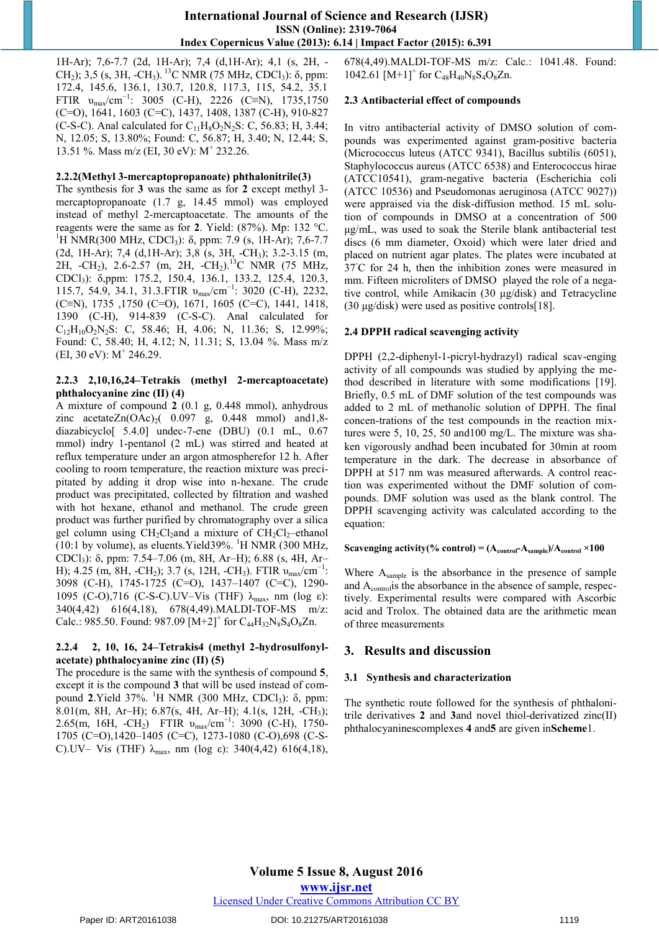1H-Ar); 7,6-7.7 (2d, 1H-Ar); 7,4 (d,1H-Ar); 4,1 (s, 2H, - CH<sub>2</sub>); 3,5 (s, 3H, -CH<sub>3</sub>).<sup>13</sup>C NMR (75 MHz, CDCl<sub>3</sub>): δ, ppm: 172.4, 145.6, 136.1, 130.7, 120.8, 117.3, 115, 54.2, 35.1 FTIR  $v_{\text{max}}/cm^{-1}$ : 3005 (C-H), 2226 (C≡N), 1735,1750 (C=O), 1641, 1603 (C=C), 1437, 1408, 1387 (C-H), 910-827 (C-S-C). Anal calculated for  $C_{11}H_8O_2N_2S$ : C, 56.83; H, 3.44; N, 12.05; S, 13.80%; Found: C, 56.87; H, 3.40; N, 12.44; S, 13.51 %. Mass m/z (EI, 30 eV): M<sup>+</sup> 232.26.

#### **2.2.2(Methyl 3-mercaptopropanoate) phthalonitrile(3)**

The synthesis for **3** was the same as for **2** except methyl 3 mercaptopropanoate (1.7 g, 14.45 mmol) was employed instead of methyl 2-mercaptoacetate. The amounts of the reagents were the same as for **2**. Yield: (87%). Mp: 132 °C. <sup>1</sup>H NMR(300 MHz, CDCl<sub>3</sub>):  $\delta$ , ppm: 7.9 (s, 1H-Ar); 7,6-7.7 (2d, 1H-Ar); 7,4 (d, 1H-Ar); 3,8 (s, 3H, -CH<sub>3</sub>); 3.2-3.15 (m, 2H, -CH<sub>2</sub>), 2.6-2.57 (m, 2H, -CH<sub>2</sub>).<sup>13</sup>C NMR (75 MHz, CDCl3): δ,ppm: 175.2, 150.4, 136.1, 133.2, 125.4, 120.3, 115.7, 54.9, 34.1, 31.3.FTIR  $v_{\text{max}}/cm^{-1}$ : 3020 (C-H), 2232, (C≡N), 1735 ,1750 (C=O), 1671, 1605 (C=C), 1441, 1418, 1390 (C-H), 914-839 (C-S-C). Anal calculated for  $C_{12}H_{10}O_2N_2S$ : C, 58.46; H, 4.06; N, 11.36; S, 12.99%; Found: C, 58.40; H, 4.12; N, 11.31; S, 13.04 %. Mass m/z  $(EI, 30 eV): M^+ 246.29.$ 

#### **2.2.3 2,10,16,24–Tetrakis (methyl 2-mercaptoacetate) phthalocyanine zinc (II) (4)**

A mixture of compound **2** (0.1 g, 0.448 mmol), anhydrous zinc acetate $Zn(OAc)_{2}$  0.097 g, 0.448 mmol) and 1,8diazabicyclo[ 5.4.0] undec-7-ene (DBU) (0.1 mL, 0.67 mmol) indry 1-pentanol (2 mL) was stirred and heated at reflux temperature under an argon atmospherefor 12 h. After cooling to room temperature, the reaction mixture was precipitated by adding it drop wise into n-hexane. The crude product was precipitated, collected by filtration and washed with hot hexane, ethanol and methanol. The crude green product was further purified by chromatography over a silica gel column using  $CH_2Cl_2$ and a mixture of  $CH_2Cl_2$ –ethanol (10:1 by volume), as eluents. Yield 39%.  $^{1}$ H NMR (300 MHz, CDCl3): δ, ppm: 7.54–7.06 (m, 8H, Ar–H); 6.88 (s, 4H, Ar– H); 4.25 (m, 8H, -CH<sub>2</sub>); 3.7 (s, 12H, -CH<sub>3</sub>). FTIR  $v_{\text{max}}/cm^{-1}$ : 3098 (C-H), 1745-1725 (C=O), 1437–1407 (C=C), 1290- 1095 (C-O),716 (C-S-C).UV–Vis (THF)  $\lambda_{\text{max}}$ , nm (log ε): 340(4,42) 616(4,18), 678(4,49).MALDI-TOF-MS m/z: Calc.: 985.50. Found: 987.09  $[M+2]^+$  for  $C_{44}H_{32}N_8S_4O_8Zn$ .

#### **2.2.4 2, 10, 16, 24–Tetrakis4 (methyl 2-hydrosulfonylacetate) phthalocyanine zinc (II) (5)**

The procedure is the same with the synthesis of compound **5**, except it is the compound **3** that will be used instead of compound **2**. Yield 37%. <sup>1</sup>H NMR (300 MHz, CDCl<sub>3</sub>): δ, ppm: 8.01(m, 8H, Ar–H); 6.87(s, 4H, Ar–H); 4.1(s, 12H, -CH3); 2.65(m, 16H, -CH<sub>2</sub>) FTIR v<sub>max</sub>/cm<sup>-1</sup>: 3090 (C-H), 1750-1705 (C=O),1420–1405 (C=C), 1273-1080 (C-O),698 (C-S-C).UV– Vis (THF)  $\lambda_{\text{max}}$ , nm (log ε): 340(4,42) 616(4,18), 678(4,49).MALDI-TOF-MS m/z: Calc.: 1041.48. Found: 1042.61  $[M+1]$ <sup>+</sup> for C<sub>48</sub>H<sub>40</sub>N<sub>8</sub>S<sub>4</sub>O<sub>8</sub>Zn.

#### **2.3 Antibacterial effect of compounds**

In vitro antibacterial activity of DMSO solution of compounds was experimented against gram-positive bacteria (Micrococcus luteus (ATCC 9341), Bacillus subtilis (6051), Staphylococcus aureus (ATCC 6538) and Enterococcus hirae (ATCC10541), gram-negative bacteria (Escherichia coli (ATCC 10536) and Pseudomonas aeruginosa (ATCC 9027)) were appraised via the disk-diffusion method. 15 mL solution of compounds in DMSO at a concentration of 500 μg/mL, was used to soak the Sterile blank antibacterial test discs (6 mm diameter, Oxoid) which were later dried and placed on nutrient agar plates. The plates were incubated at 37℃ for 24 h, then the inhibition zones were measured in mm. Fifteen microliters of DMSO played the role of a negative control, while Amikacin (30 μg/disk) and Tetracycline (30  $\mu$ g/disk) were used as positive controls[18].

#### **2.4 DPPH radical scavenging activity**

DPPH (2,2-diphenyl-1-picryl-hydrazyl) radical scav-enging activity of all compounds was studied by applying the method described in literature with some modifications [19]. Briefly, 0.5 mL of DMF solution of the test compounds was added to 2 mL of methanolic solution of DPPH. The final concen-trations of the test compounds in the reaction mixtures were 5, 10, 25, 50 and100 mg/L. The mixture was shaken vigorously andhad been incubated for 30min at room temperature in the dark. The decrease in absorbance of DPPH at 517 nm was measured afterwards. A control reaction was experimented without the DMF solution of compounds. DMF solution was used as the blank control. The DPPH scavenging activity was calculated according to the equation:

#### **Scavenging activity(% control) =**  $(A_{control} - A_{sample})/A_{control} \times 100$

Where  $A_{sample}$  is the absorbance in the presence of sample and A<sub>control</sub>is the absorbance in the absence of sample, respectively. Experimental results were compared with Ascorbic acid and Trolox. The obtained data are the arithmetic mean of three measurements

## **3. Results and discussion**

#### **3.1 Synthesis and characterization**

The synthetic route followed for the synthesis of phthalonitrile derivatives **2** and **3**and novel thiol-derivatized zinc(II) phthalocyaninescomplexes **4** and**5** are given in**Scheme**1.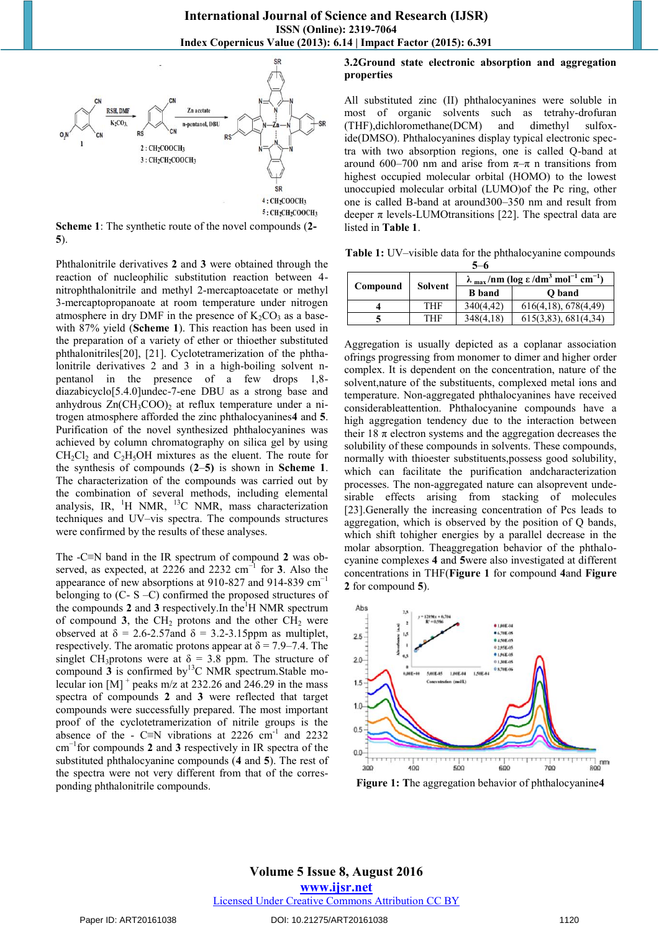

**Scheme 1**: The synthetic route of the novel compounds (**2- 5**).

Phthalonitrile derivatives **2** and **3** were obtained through the reaction of nucleophilic substitution reaction between 4 nitrophthalonitrile and methyl 2-mercaptoacetate or methyl 3-mercaptopropanoate at room temperature under nitrogen atmosphere in dry DMF in the presence of  $K_2CO_3$  as a basewith 87% yield (**Scheme 1**). This reaction has been used in the preparation of a variety of ether or thioether substituted phthalonitriles[20], [21]. Cyclotetramerization of the phthalonitrile derivatives 2 and 3 in a high-boiling solvent npentanol in the presence of a few drops 1,8 diazabicyclo[5.4.0]undec-7-ene DBU as a strong base and anhydrous  $Zn(CH_3COO)_2$  at reflux temperature under a nitrogen atmosphere afforded the zinc phthalocyanines**4** and **5**. Purification of the novel synthesized phthalocyanines was achieved by column chromatography on silica gel by using  $CH_2Cl_2$  and  $C_2H_5OH$  mixtures as the eluent. The route for the synthesis of compounds (**2**–**5)** is shown in **Scheme 1**. The characterization of the compounds was carried out by the combination of several methods, including elemental analysis, IR,  ${}^{1}H$  NMR,  ${}^{13}C$  NMR, mass characterization techniques and UV–vis spectra. The compounds structures were confirmed by the results of these analyses.

The -C≡N band in the IR spectrum of compound **2** was observed, as expected, at 2226 and 2232 cm−1 for **3**. Also the appearance of new absorptions at 910-827 and 914-839 cm−1 belonging to (C- S –C) confirmed the proposed structures of the compounds 2 and 3 respectively. In the  $H$  NMR spectrum of compound  $3$ , the CH<sub>2</sub> protons and the other CH<sub>2</sub> were observed at  $\delta = 2.6$ -2.57 and  $\delta = 3.2$ -3.15 ppm as multiplet, respectively. The aromatic protons appear at  $\delta = 7.9 - 7.4$ . The singlet CH<sub>3</sub>protons were at  $\delta = 3.8$  ppm. The structure of compound  $\hat{3}$  is confirmed by<sup>13</sup>C NMR spectrum. Stable molecular ion  $[M]$ <sup>+</sup> peaks m/z at 232.26 and 246.29 in the mass spectra of compounds **2** and **3** were reflected that target compounds were successfully prepared. The most important proof of the cyclotetramerization of nitrile groups is the absence of the - C≡N vibrations at 2226 cm<sup>-1</sup> and 2232 cm−1for compounds **2** and **3** respectively in IR spectra of the substituted phthalocyanine compounds (**4** and **5**). The rest of the spectra were not very different from that of the corresponding phthalonitrile compounds.

## **3.2Ground state electronic absorption and aggregation properties**

All substituted zinc (II) phthalocyanines were soluble in most of organic solvents such as tetrahy-drofuran (THF),dichloromethane(DCM) and dimethyl sulfoxide(DMSO). Phthalocyanines display typical electronic spectra with two absorption regions, one is called Q-band at around 600–700 nm and arise from  $\pi-\pi$  n transitions from highest occupied molecular orbital (HOMO) to the lowest unoccupied molecular orbital (LUMO)of the Pc ring, other one is called B-band at around300–350 nm and result from deeper  $\pi$  levels-LUMOtransitions [22]. The spectral data are listed in **Table 1**.

**Table 1:** UV–visible data for the phthalocyanine compounds **5**–**6**

| Compound | <b>Solvent</b> | $\lambda$ <sub>max</sub> /nm (log $\epsilon$ /dm <sup>3</sup> mol <sup>-1</sup> cm <sup>-1</sup> ) |                      |  |
|----------|----------------|----------------------------------------------------------------------------------------------------|----------------------|--|
|          |                | <b>B</b> band                                                                                      | O band               |  |
|          | THF            | 340(4,42)                                                                                          | 616(4,18), 678(4,49) |  |
|          | THF            | 348(4,18)                                                                                          | 615(3,83), 681(4,34) |  |

Aggregation is usually depicted as a coplanar association ofrings progressing from monomer to dimer and higher order complex. It is dependent on the concentration, nature of the solvent,nature of the substituents, complexed metal ions and temperature. Non-aggregated phthalocyanines have received considerableattention. Phthalocyanine compounds have a high aggregation tendency due to the interaction between their 18  $\pi$  electron systems and the aggregation decreases the solubility of these compounds in solvents. These compounds, normally with thioester substituents,possess good solubility, which can facilitate the purification andcharacterization processes. The non-aggregated nature can alsoprevent undesirable effects arising from stacking of molecules [23].Generally the increasing concentration of Pcs leads to aggregation, which is observed by the position of Q bands, which shift tohigher energies by a parallel decrease in the molar absorption. Theaggregation behavior of the phthalocyanine complexes **4** and **5**were also investigated at different concentrations in THF(**Figure 1** for compound **4**and **Figure 2** for compound **5**).



**Figure 1: T**he aggregation behavior of phthalocyanine**4**

## **Volume 5 Issue 8, August 2016 www.ijsr.net** Licensed Under Creative Commons Attribution CC BY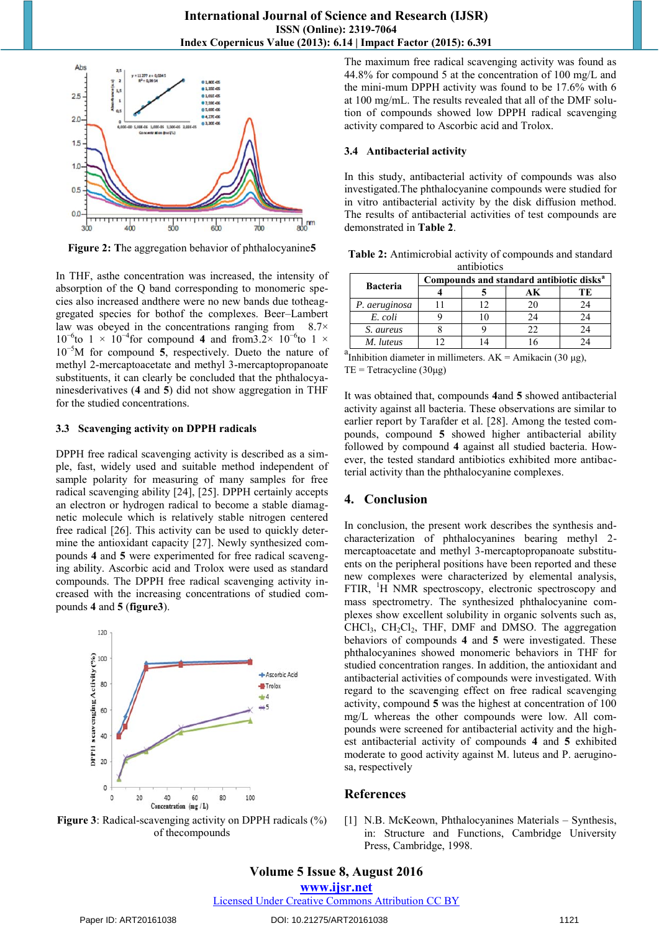

**Figure 2: T**he aggregation behavior of phthalocyanine**5** 

In THF, asthe concentration was increased, the intensity of absorption of the Q band corresponding to monomeric species also increased andthere were no new bands due totheaggregated species for bothof the complexes. Beer–Lambert law was obeyed in the concentrations ranging from  $8.7\times$  $10^{-6}$ to 1 ×  $10^{-4}$ for compound 4 and from 3.2×  $10^{-6}$ to 1 × 10−5M for compound **5**, respectively. Dueto the nature of methyl 2-mercaptoacetate and methyl 3-mercaptopropanoate substituents, it can clearly be concluded that the phthalocyaninesderivatives (**4** and **5**) did not show aggregation in THF for the studied concentrations.

## **3.3 Scavenging activity on DPPH radicals**

DPPH free radical scavenging activity is described as a simple, fast, widely used and suitable method independent of sample polarity for measuring of many samples for free radical scavenging ability [24], [25]. DPPH certainly accepts an electron or hydrogen radical to become a stable diamagnetic molecule which is relatively stable nitrogen centered free radical [26]. This activity can be used to quickly determine the antioxidant capacity [27]. Newly synthesized compounds **4** and **5** were experimented for free radical scavenging ability. Ascorbic acid and Trolox were used as standard compounds. The DPPH free radical scavenging activity increased with the increasing concentrations of studied compounds **4** and **5** (**figure3**).



**Figure 3**: Radical-scavenging activity on DPPH radicals (%) of thecompounds

The maximum free radical scavenging activity was found as 44.8% for compound 5 at the concentration of 100 mg/L and the mini-mum DPPH activity was found to be 17.6% with 6 at 100 mg/mL. The results revealed that all of the DMF solution of compounds showed low DPPH radical scavenging activity compared to Ascorbic acid and Trolox.

#### **3.4 Antibacterial activity**

In this study, antibacterial activity of compounds was also investigated.The phthalocyanine compounds were studied for in vitro antibacterial activity by the disk diffusion method. The results of antibacterial activities of test compounds are demonstrated in **Table 2**.

**Table 2:** Antimicrobial activity of compounds and standard antibiotics

| <b>Bacteria</b> | Compounds and standard antibiotic disks <sup>a</sup> |  |    |    |  |
|-----------------|------------------------------------------------------|--|----|----|--|
|                 |                                                      |  |    | ĽЕ |  |
| P. aeruginosa   |                                                      |  | 20 | 24 |  |
| E. coli         |                                                      |  | 24 | 24 |  |
| S. aureus       |                                                      |  | 22 | 24 |  |
| M. luteus       |                                                      |  |    |    |  |

a<br>Inhibition diameter in millimeters.  $AK = Amikacin$  (30 μg), TE = Tetracycline  $(30\mu g)$ 

It was obtained that, compounds **4**and **5** showed antibacterial activity against all bacteria. These observations are similar to earlier report by Tarafder et al. [28]. Among the tested compounds, compound **5** showed higher antibacterial ability followed by compound **4** against all studied bacteria. However, the tested standard antibiotics exhibited more antibacterial activity than the phthalocyanine complexes.

#### **4. Conclusion**

In conclusion, the present work describes the synthesis andcharacterization of phthalocyanines bearing methyl 2 mercaptoacetate and methyl 3-mercaptopropanoate substituents on the peripheral positions have been reported and these new complexes were characterized by elemental analysis, FTIR, <sup>1</sup>H NMR spectroscopy, electronic spectroscopy and mass spectrometry. The synthesized phthalocyanine complexes show excellent solubility in organic solvents such as,  $CHCl<sub>3</sub>$ ,  $CH<sub>2</sub>Cl<sub>2</sub>$ , THF, DMF and DMSO. The aggregation behaviors of compounds **4** and **5** were investigated. These phthalocyanines showed monomeric behaviors in THF for studied concentration ranges. In addition, the antioxidant and antibacterial activities of compounds were investigated. With regard to the scavenging effect on free radical scavenging activity, compound **5** was the highest at concentration of 100 mg/L whereas the other compounds were low. All compounds were screened for antibacterial activity and the highest antibacterial activity of compounds **4** and **5** exhibited moderate to good activity against M. luteus and P. aeruginosa, respectively

#### **References**

[1] N.B. McKeown, Phthalocyanines Materials – Synthesis, in: Structure and Functions, Cambridge University Press, Cambridge, 1998.

## **Volume 5 Issue 8, August 2016**

**www.ijsr.net**

Licensed Under Creative Commons Attribution CC BY